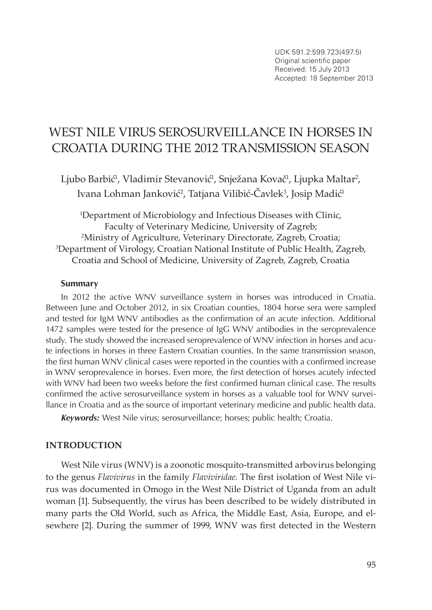# West Nile virus serosurveillance in horses in Croatia during the 2012 transmission season

Ljubo Barbić<sup>1</sup>, Vladimir Stevanović<sup>1</sup>, Snježana Kovač<sup>1</sup>, Ljupka Maltar<sup>2</sup>, Ivana Lohman Janković², Tatjana Vilibić-Cavlek<sup>3</sup>, Josip Madić<sup>1</sup>

1 Department of Microbiology and Infectious Diseases with Clinic, Faculty of Veterinary Medicine, University of Zagreb; 2 Ministry of Agriculture, Veterinary Directorate, Zagreb, Croatia; 3 Department of Virology, Croatian National Institute of Public Health, Zagreb, Croatia and School of Medicine, University of Zagreb, Zagreb, Croatia

#### **Summary**

In 2012 the active WNV surveillance system in horses was introduced in Croatia. Between June and October 2012, in six Croatian counties, 1804 horse sera were sampled and tested for IgM WNV antibodies as the confirmation of an acute infection. Additional 1472 samples were tested for the presence of IgG WNV antibodies in the seroprevalence study. The study showed the increased seroprevalence of WNV infection in horses and acute infections in horses in three Eastern Croatian counties. In the same transmission season, the first human WNV clinical cases were reported in the counties with a confirmed increase in WNV seroprevalence in horses. Even more, the first detection of horses acutely infected with WNV had been two weeks before the first confirmed human clinical case. The results confirmed the active serosurveillance system in horses as a valuable tool for WNV surveillance in Croatia and as the source of important veterinary medicine and public health data.

*Keywords:* West Nile virus; serosurveillance; horses; public health; Croatia.

## **INTRODUCTION**

West Nile virus (WNV) is a zoonotic mosquito-transmitted arbovirus belonging to the genus *Flavivirus* in the family *Flaviviridae*. The first isolation of West Nile virus was documented in Omogo in the West Nile District of Uganda from an adult woman [1]. Subsequently, the virus has been described to be widely distributed in many parts the Old World, such as Africa, the Middle East, Asia, Europe, and elsewhere [2]. During the summer of 1999, WNV was first detected in the Western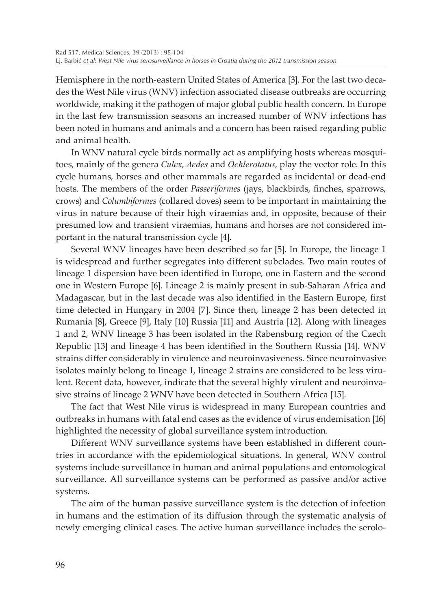Hemisphere in the north-eastern United States of America [3]. For the last two decades the West Nile virus (WNV) infection associated disease outbreaks are occurring worldwide, making it the pathogen of major global public health concern. In Europe in the last few transmission seasons an increased number of WNV infections has been noted in humans and animals and a concern has been raised regarding public and animal health.

In WNV natural cycle birds normally act as amplifying hosts whereas mosquitoes, mainly of the genera *Culex*, *Aedes* and *Ochlerotatus*, play the vector role. In this cycle humans, horses and other mammals are regarded as incidental or dead-end hosts. The members of the order *Passeriformes* (jays, blackbirds, finches, sparrows, crows) and *Columbiformes* (collared doves) seem to be important in maintaining the virus in nature because of their high viraemias and, in opposite, because of their presumed low and transient viraemias, humans and horses are not considered important in the natural transmission cycle [4].

Several WNV lineages have been described so far [5]. In Europe, the lineage 1 is widespread and further segregates into different subclades. Two main routes of lineage 1 dispersion have been identified in Europe, one in Eastern and the second one in Western Europe [6]. Lineage 2 is mainly present in sub-Saharan Africa and Madagascar, but in the last decade was also identified in the Eastern Europe, first time detected in Hungary in 2004 [7]. Since then, lineage 2 has been detected in Rumania [8], Greece [9], Italy [10] Russia [11] and Austria [12]. Along with lineages 1 and 2, WNV lineage 3 has been isolated in the Rabensburg region of the Czech Republic [13] and lineage 4 has been identified in the Southern Russia [14]. WNV strains differ considerably in virulence and neuroinvasiveness. Since neuroinvasive isolates mainly belong to lineage 1, lineage 2 strains are considered to be less virulent. Recent data, however, indicate that the several highly virulent and neuroinvasive strains of lineage 2 WNV have been detected in Southern Africa [15].

The fact that West Nile virus is widespread in many European countries and outbreaks in humans with fatal end cases as the evidence of virus endemisation [16] highlighted the necessity of global surveillance system introduction.

Different WNV surveillance systems have been established in different countries in accordance with the epidemiological situations. In general, WNV control systems include surveillance in human and animal populations and entomological surveillance. All surveillance systems can be performed as passive and/or active systems.

The aim of the human passive surveillance system is the detection of infection in humans and the estimation of its diffusion through the systematic analysis of newly emerging clinical cases. The active human surveillance includes the serolo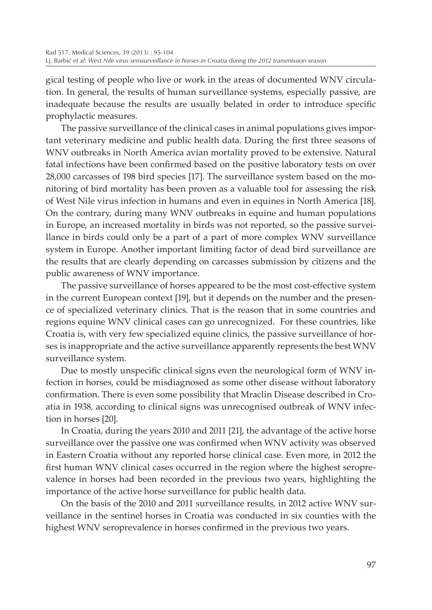gical testing of people who live or work in the areas of documented WNV circulation. In general, the results of human surveillance systems, especially passive, are inadequate because the results are usually belated in order to introduce specific prophylactic measures.

The passive surveillance of the clinical cases in animal populations gives important veterinary medicine and public health data. During the first three seasons of WNV outbreaks in North America avian mortality proved to be extensive. Natural fatal infections have been confirmed based on the positive laboratory tests on over 28,000 carcasses of 198 bird species [17]. The surveillance system based on the monitoring of bird mortality has been proven as a valuable tool for assessing the risk of West Nile virus infection in humans and even in equines in North America [18]. On the contrary, during many WNV outbreaks in equine and human populations in Europe, an increased mortality in birds was not reported, so the passive surveillance in birds could only be a part of a part of more complex WNV surveillance system in Europe. Another important limiting factor of dead bird surveillance are the results that are clearly depending on carcasses submission by citizens and the public awareness of WNV importance.

The passive surveillance of horses appeared to be the most cost-effective system in the current European context [19], but it depends on the number and the presence of specialized veterinary clinics. That is the reason that in some countries and regions equine WNV clinical cases can go unrecognized. For these countries, like Croatia is, with very few specialized equine clinics, the passive surveillance of horses is inappropriate and the active surveillance apparently represents the best WNV surveillance system.

Due to mostly unspecific clinical signs even the neurological form of WNV infection in horses, could be misdiagnosed as some other disease without laboratory confirmation. There is even some possibility that Mraclin Disease described in Croatia in 1938, according to clinical signs was unrecognised outbreak of WNV infection in horses [20].

In Croatia, during the years 2010 and 2011 [21], the advantage of the active horse surveillance over the passive one was confirmed when WNV activity was observed in Eastern Croatia without any reported horse clinical case. Even more, in 2012 the first human WNV clinical cases occurred in the region where the highest seroprevalence in horses had been recorded in the previous two years, highlighting the importance of the active horse surveillance for public health data.

On the basis of the 2010 and 2011 surveillance results, in 2012 active WNV surveillance in the sentinel horses in Croatia was conducted in six counties with the highest WNV seroprevalence in horses confirmed in the previous two years.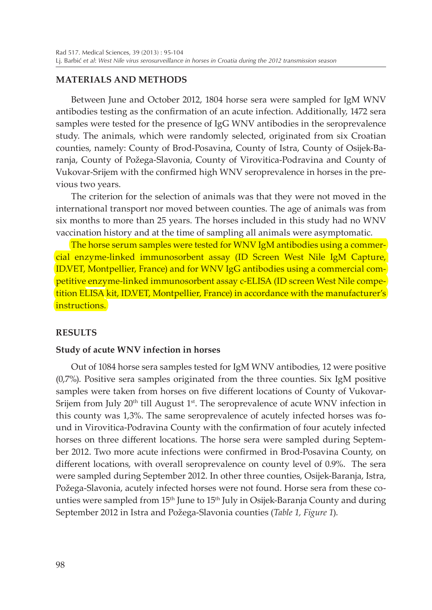## **MATERIALS AND METHODS**

Between June and October 2012, 1804 horse sera were sampled for IgM WNV antibodies testing as the confirmation of an acute infection. Additionally, 1472 sera samples were tested for the presence of IgG WNV antibodies in the seroprevalence study. The animals, which were randomly selected, originated from six Croatian counties, namely: County of Brod-Posavina, County of Istra, County of Osijek-Baranja, County of Požega-Slavonia, County of Virovitica-Podravina and County of Vukovar-Srijem with the confirmed high WNV seroprevalence in horses in the previous two years.

The criterion for the selection of animals was that they were not moved in the international transport nor moved between counties. The age of animals was from six months to more than 25 years. The horses included in this study had no WNV vaccination history and at the time of sampling all animals were asymptomatic.

The horse serum samples were tested for WNV IgM antibodies using a commercial enzyme-linked immunosorbent assay (ID Screen West Nile IgM Capture, ID.VET, Montpellier, France) and for WNV IgG antibodies using a commercial competitive enzyme-linked immunosorbent assay c-ELISA (ID screen West Nile competition ELISA kit, ID.VET, Montpellier, France) in accordance with the manufacturer's instructions.

## **RESULTS**

## **Study of acute WNV infection in horses**

Out of 1084 horse sera samples tested for IgM WNV antibodies, 12 were positive (0,7%). Positive sera samples originated from the three counties. Six IgM positive samples were taken from horses on five different locations of County of Vukovar-Srijem from July 20<sup>th</sup> till August 1<sup>st</sup>. The seroprevalence of acute WNV infection in this county was 1,3%. The same seroprevalence of acutely infected horses was found in Virovitica-Podravina County with the confirmation of four acutely infected horses on three different locations. The horse sera were sampled during September 2012. Two more acute infections were confirmed in Brod-Posavina County, on different locations, with overall seroprevalence on county level of 0.9%. The sera were sampled during September 2012. In other three counties, Osijek-Baranja, Istra, Požega-Slavonia, acutely infected horses were not found. Horse sera from these counties were sampled from 15<sup>th</sup> June to 15<sup>th</sup> July in Osijek-Baranja County and during September 2012 in Istra and Požega-Slavonia counties (*Table 1, Figure 1*).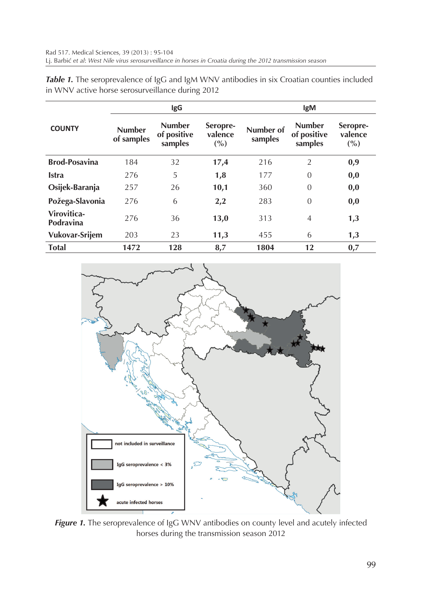|                          | <b>IgG</b>                  |                                         |                            | <b>IgM</b>           |                                         |                            |
|--------------------------|-----------------------------|-----------------------------------------|----------------------------|----------------------|-----------------------------------------|----------------------------|
| <b>COUNTY</b>            | <b>Number</b><br>of samples | <b>Number</b><br>of positive<br>samples | Seropre-<br>valence<br>(%) | Number of<br>samples | <b>Number</b><br>of positive<br>samples | Seropre-<br>valence<br>(%) |
| <b>Brod-Posavina</b>     | 184                         | 32                                      | 17,4                       | 216                  | $\overline{2}$                          | 0,9                        |
| <b>Istra</b>             | 276                         | 5                                       | 1,8                        | 177                  | $\overline{0}$                          | 0,0                        |
| Osijek-Baranja           | 257                         | 26                                      | 10,1                       | 360                  | $\overline{0}$                          | 0,0                        |
| Požega-Slavonia          | 276                         | 6                                       | 2,2                        | 283                  | $\overline{0}$                          | 0,0                        |
| Virovitica-<br>Podravina | 276                         | 36                                      | 13,0                       | 313                  | $\overline{4}$                          | 1,3                        |
| Vukovar-Srijem           | 203                         | 23                                      | 11,3                       | 455                  | 6                                       | 1,3                        |
| <b>Total</b>             | 1472                        | 128                                     | 8,7                        | 1804                 | 12                                      | 0,7                        |

**Table 1.** The seroprevalence of IgG and IgM WNV antibodies in six Croatian counties included in WNV active horse serosurveillance during 2012



**Figure 1.** The seroprevalence of IgG WNV antibodies on county level and acutely infected horses during the transmission season 2012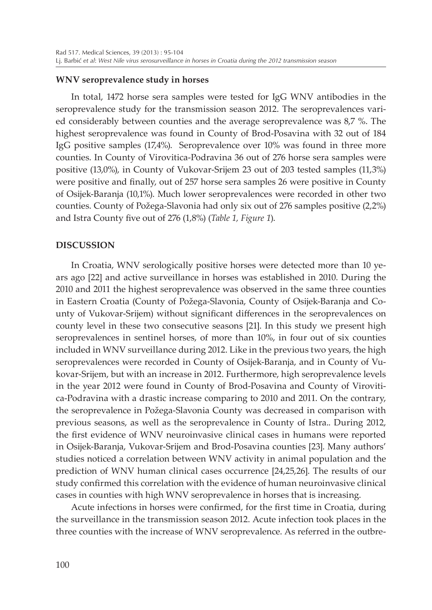## **WNV seroprevalence study in horses**

In total, 1472 horse sera samples were tested for IgG WNV antibodies in the seroprevalence study for the transmission season 2012. The seroprevalences varied considerably between counties and the average seroprevalence was 8,7 %. The highest seroprevalence was found in County of Brod-Posavina with 32 out of 184 IgG positive samples (17,4%). Seroprevalence over 10% was found in three more counties. In County of Virovitica-Podravina 36 out of 276 horse sera samples were positive (13,0%), in County of Vukovar-Srijem 23 out of 203 tested samples (11,3%) were positive and finally, out of 257 horse sera samples 26 were positive in County of Osijek-Baranja (10,1%). Much lower seroprevalences were recorded in other two counties. County of Požega-Slavonia had only six out of 276 samples positive (2,2%) and Istra County five out of 276 (1,8%) (*Table 1, Figure 1*).

## **DISCUSSION**

In Croatia, WNV serologically positive horses were detected more than 10 years ago [22] and active surveillance in horses was established in 2010. During the 2010 and 2011 the highest seroprevalence was observed in the same three counties in Eastern Croatia (County of Požega-Slavonia, County of Osijek-Baranja and County of Vukovar-Srijem) without significant differences in the seroprevalences on county level in these two consecutive seasons [21]. In this study we present high seroprevalences in sentinel horses, of more than 10%, in four out of six counties included in WNV surveillance during 2012. Like in the previous two years, the high seroprevalences were recorded in County of Osijek-Baranja, and in County of Vukovar-Srijem, but with an increase in 2012. Furthermore, high seroprevalence levels in the year 2012 were found in County of Brod-Posavina and County of Virovitica-Podravina with a drastic increase comparing to 2010 and 2011. On the contrary, the seroprevalence in Požega-Slavonia County was decreased in comparison with previous seasons, as well as the seroprevalence in County of Istra.. During 2012, the first evidence of WNV neuroinvasive clinical cases in humans were reported in Osijek-Baranja, Vukovar-Srijem and Brod-Posavina counties [23]. Many authors' studies noticed a correlation between WNV activity in animal population and the prediction of WNV human clinical cases occurrence [24,25,26]. The results of our study confirmed this correlation with the evidence of human neuroinvasive clinical cases in counties with high WNV seroprevalence in horses that is increasing.

Acute infections in horses were confirmed, for the first time in Croatia, during the surveillance in the transmission season 2012. Acute infection took places in the three counties with the increase of WNV seroprevalence. As referred in the outbre-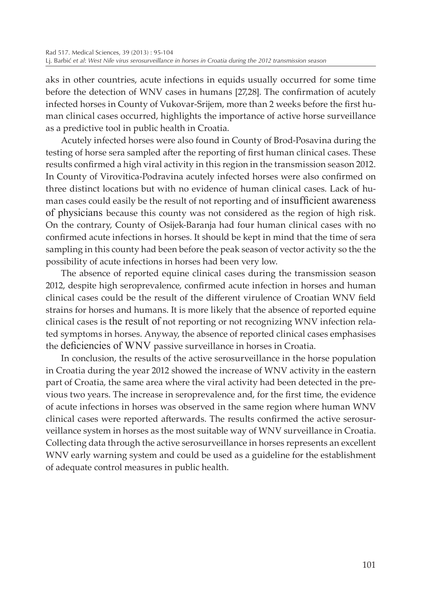aks in other countries, acute infections in equids usually occurred for some time before the detection of WNV cases in humans [27,28]. The confirmation of acutely infected horses in County of Vukovar-Srijem, more than 2 weeks before the first human clinical cases occurred, highlights the importance of active horse surveillance as a predictive tool in public health in Croatia.

Acutely infected horses were also found in County of Brod-Posavina during the testing of horse sera sampled after the reporting of first human clinical cases. These results confirmed a high viral activity in this region in the transmission season 2012. In County of Virovitica-Podravina acutely infected horses were also confirmed on three distinct locations but with no evidence of human clinical cases. Lack of human cases could easily be the result of not reporting and of insufficient awareness of physicians because this county was not considered as the region of high risk. On the contrary, County of Osijek-Baranja had four human clinical cases with no confirmed acute infections in horses. It should be kept in mind that the time of sera sampling in this county had been before the peak season of vector activity so the the possibility of acute infections in horses had been very low.

The absence of reported equine clinical cases during the transmission season 2012, despite high seroprevalence, confirmed acute infection in horses and human clinical cases could be the result of the different virulence of Croatian WNV field strains for horses and humans. It is more likely that the absence of reported equine clinical cases is the result of not reporting or not recognizing WNV infection related symptoms in horses. Anyway, the absence of reported clinical cases emphasises the deficiencies of WNV passive surveillance in horses in Croatia.

In conclusion, the results of the active serosurveillance in the horse population in Croatia during the year 2012 showed the increase of WNV activity in the eastern part of Croatia, the same area where the viral activity had been detected in the previous two years. The increase in seroprevalence and, for the first time, the evidence of acute infections in horses was observed in the same region where human WNV clinical cases were reported afterwards. The results confirmed the active serosurveillance system in horses as the most suitable way of WNV surveillance in Croatia. Collecting data through the active serosurveillance in horses represents an excellent WNV early warning system and could be used as a guideline for the establishment of adequate control measures in public health.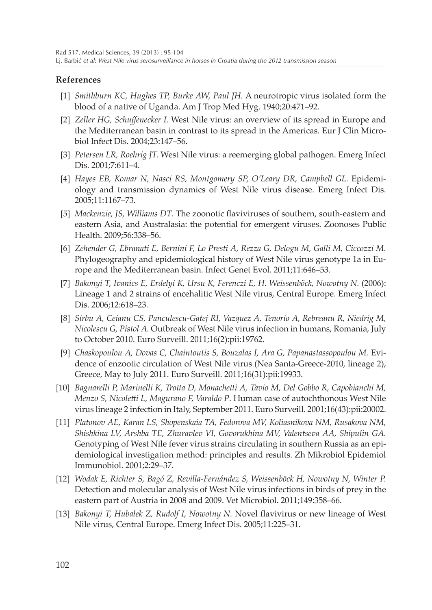## **References**

- [1] *Smithburn KC, Hughes TP, Burke AW, Paul JH.* A neurotropic virus isolated form the blood of a native of Uganda. Am J Trop Med Hyg. 1940;20:471–92.
- [2] *Zeller HG, Schuffenecker I.* West Nile virus: an overview of its spread in Europe and the Mediterranean basin in contrast to its spread in the Americas. Eur J Clin Microbiol Infect Dis. 2004;23:147–56.
- [3] *Petersen LR, Roehrig JT.* West Nile virus: a reemerging global pathogen. Emerg Infect Dis. 2001;7:611–4.
- [4] *Hayes EB, Komar N, Nasci RS, Montgomery SP, O'Leary DR, Campbell GL.* Epidemiology and transmission dynamics of West Nile virus disease. Emerg Infect Dis. 2005;11:1167–73.
- [5] *Mackenzie, JS, Williams DT*. The zoonotic flaviviruses of southern, south-eastern and eastern Asia, and Australasia: the potential for emergent viruses. Zoonoses Public Health. 2009;56:338–56.
- [6] *Zehender G, Ebranati E, Bernini F, Lo Presti A, Rezza G, Delogu M, Galli M, Ciccozzi M.* Phylogeography and epidemiological history of West Nile virus genotype 1a in Europe and the Mediterranean basin. Infect Genet Evol. 2011;11:646–53.
- [7] Bakonyi T, Ivanics E, Erdelyi K, Ursu K, Ferenczi E, H. Weissenböck, Nowotny N. (2006): Lineage 1 and 2 strains of encehalitic West Nile virus, Central Europe. Emerg Infect Dis. 2006;12:618–23.
- [8] *Sirbu A, Ceianu CS, Panculescu-Gatej RI, Vazquez A, Tenorio A, Rebreanu R, Niedrig M, Nicolescu G, Pistol A.* Outbreak of West Nile virus infection in humans, Romania, July to October 2010. Euro Surveill. 2011;16(2):pii:19762.
- [9] *Chaskopoulou A, Dovas C, Chaintoutis S, Bouzalas I, Ara G, Papanastassopoulou M.* Evidence of enzootic circulation of West Nile virus (Nea Santa-Greece-2010, lineage 2), Greece, May to July 2011. Euro Surveill. 2011;16(31):pii:19933.
- [10] *Bagnarelli P, Marinelli K, Trotta D, Monachetti A, Tavio M, Del Gobbo R, Capobianchi M, Menzo S, Nicoletti L, Magurano F, Varaldo P*. Human case of autochthonous West Nile virus lineage 2 infection in Italy, September 2011. Euro Surveill. 2001;16(43):pii:20002.
- [11] *Platonov AE, Karan LS, Shopenskaia TA, Fedorova MV, Koliasnikova NM, Rusakova NM, Shishkina LV, Arshba TE, Zhuravlev VI, Govorukhina MV, Valentseva AA, Shipulin GA.* Genotyping of West Nile fever virus strains circulating in southern Russia as an epidemiological investigation method: principles and results. Zh Mikrobiol Epidemiol Immunobiol. 2001;2:29–37.
- [12] *Wodak E, Richter S, Bagó Z, Revilla-Fernández S, Weissenböck H, Nowotny N, Winter P.* Detection and molecular analysis of West Nile virus infections in birds of prey in the eastern part of Austria in 2008 and 2009. Vet Microbiol. 2011;149:358–66.
- [13] *Bakonyi T, Hubalek Z, Rudolf I, Nowotny N.* Novel flavivirus or new lineage of West Nile virus, Central Europe. Emerg Infect Dis. 2005;11:225–31.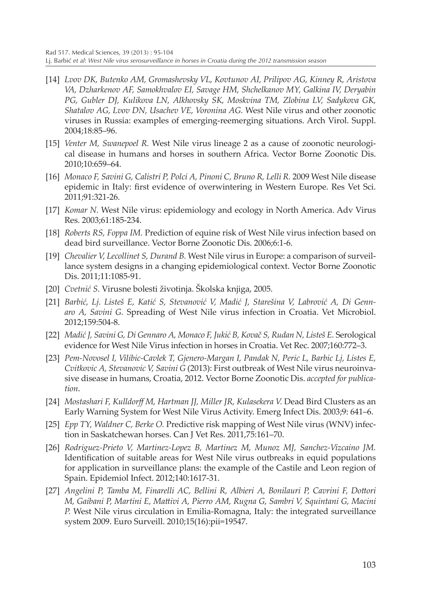- [14] *Lvov DK, Butenko AM, Gromashevsky VL, Kovtunov AI, Prilipov AG, Kinney R, Aristova VA, Dzharkenov AF, Samokhvalov EI, Savage HM, Shchelkanov MY, Galkina IV, Deryabin PG, Gubler DJ, Kulikova LN, Alkhovsky SK, Moskvina TM, Zlobina LV, Sadykova GK, Shatalov AG, Lvov DN, Usachev VE, Voronina AG.* West Nile virus and other zoonotic viruses in Russia: examples of emerging-reemerging situations. Arch Virol. Suppl. 2004;18:85–96.
- [15] *Venter M, Swanepoel R.* West Nile virus lineage 2 as a cause of zoonotic neurological disease in humans and horses in southern Africa. Vector Borne Zoonotic Dis. 2010;10:659–64.
- [16] *Monaco F, Savini G, Calistri P, Polci A, Pinoni C, Bruno R, Lelli R.* 2009 West Nile disease epidemic in Italy: first evidence of overwintering in Western Europe. Res Vet Sci. 2011;91:321-26.
- [17] *Komar N.* West Nile virus: epidemiology and ecology in North America. Adv Virus Res. 2003;61:185-234.
- [18] *Roberts RS, Foppa IM.* Prediction of equine risk of West Nile virus infection based on dead bird surveillance. Vector Borne Zoonotic Dis. 2006;6:1-6.
- [19] *Chevalier V, Lecollinet S, Durand B.* West Nile virus in Europe: a comparison of surveillance system designs in a changing epidemiological context. Vector Borne Zoonotic Dis. 2011;11:1085-91.
- [20] *Cvetnić S*. Virusne bolesti životinja. Školska knjiga, 2005.
- [21] *Barbić, Lj. Listeš E, Katić S, Stevanović V, Madić J, Starešina V, Labrović A, Di Gennaro A, Savini G.* Spreading of West Nile virus infection in Croatia. Vet Microbiol. 2012;159:504-8.
- [22] *Madić J, Savini G, Di Gennaro A, Monaco F, Jukić B, Kovač S, Rudan N, Listeš E.* Serological evidence for West Nile Virus infection in horses in Croatia. Vet Rec. 2007;160:772–3.
- [23] *Pem-Novosel I, Vilibic-Cavlek T, Gjenero-Margan I, Pandak N, Peric L, Barbic Lj, Listes E, Cvitkovic A, Stevanovic V, Savini G* (2013): First outbreak of West Nile virus neuroinvasive disease in humans, Croatia, 2012. Vector Borne Zoonotic Dis. *accepted for publication*.
- [24] *Mostashari F, Kulldorff M, Hartman JJ, Miller JR, Kulasekera V.* Dead Bird Clusters as an Early Warning System for West Nile Virus Activity. Emerg Infect Dis. 2003;9: 641–6.
- [25] *Epp TY, Waldner C, Berke O.* Predictive risk mapping of West Nile virus (WNV) infection in Saskatchewan horses. Can J Vet Res. 2011,75:161–70.
- [26] *Rodriguez-Prieto V, Martinez-Lopez B, Martinez M, Munoz MJ, Sanchez-Vizcaino JM.* Identification of suitable areas for West Nile virus outbreaks in equid populations for application in surveillance plans: the example of the Castile and Leon region of Spain. Epidemiol Infect. 2012;140:1617-31.
- [27] *Angelini P, Tamba M, Finarelli AC, Bellini R, Albieri A, Bonilauri P, Cavrini F, Dottori M, Gaibani P, Martini E, Mattivi A, Pierro AM, Rugna G, Sambri V, Squintani G, Macini P.* West Nile virus circulation in Emilia-Romagna, Italy: the integrated surveillance system 2009. Euro Surveill. 2010;15(16):pii=19547.